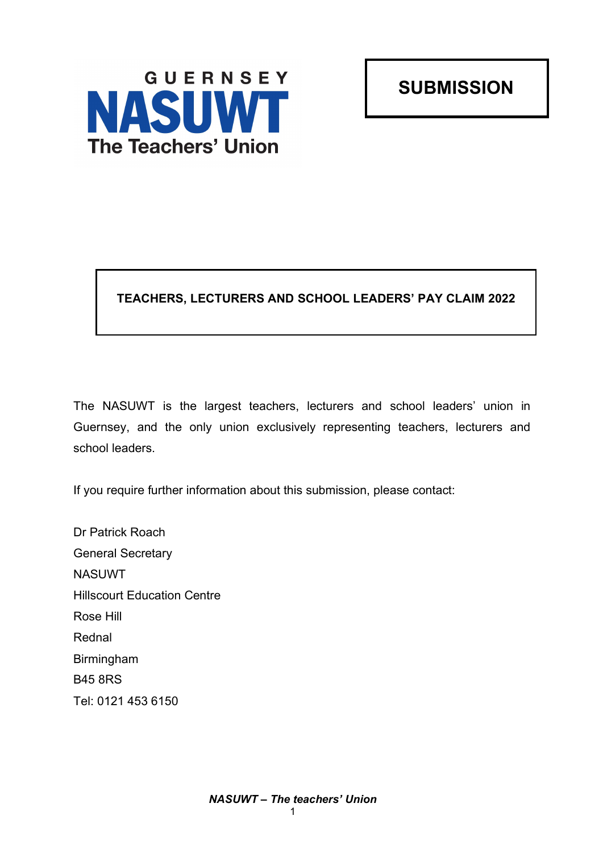GUERNSEY **NASUWT The Teachers' Union** 

**SUBMISSION**

# **TEACHERS, LECTURERS AND SCHOOL LEADERS' PAY CLAIM 2022**

The NASUWT is the largest teachers, lecturers and school leaders' union in Guernsey, and the only union exclusively representing teachers, lecturers and school leaders.

If you require further information about this submission, please contact:

Dr Patrick Roach General Secretary NASUWT Hillscourt Education Centre Rose Hill Rednal Birmingham B45 8RS Tel: 0121 453 6150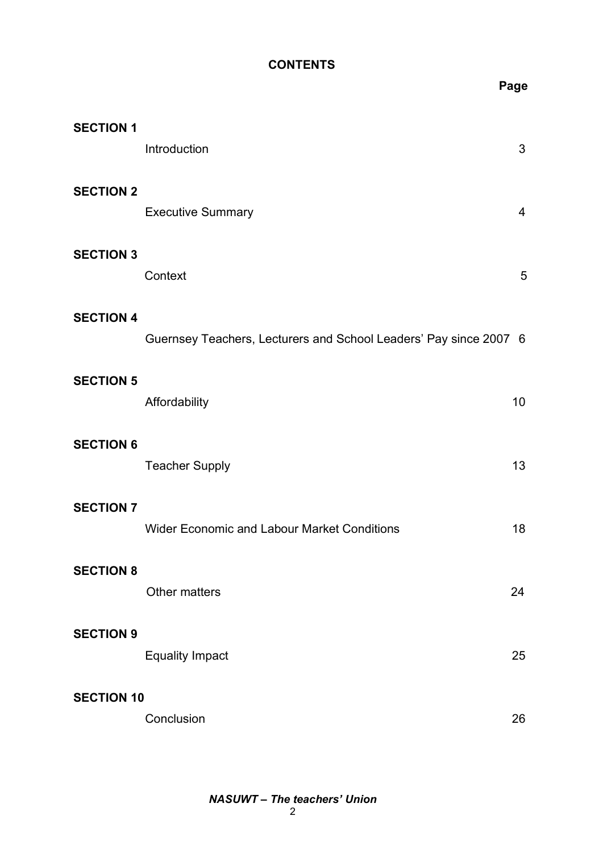### **CONTENTS**

|                   |                                                                   | Page           |
|-------------------|-------------------------------------------------------------------|----------------|
| <b>SECTION 1</b>  | Introduction                                                      | $\mathfrak{S}$ |
| <b>SECTION 2</b>  | <b>Executive Summary</b>                                          | $\overline{4}$ |
| <b>SECTION 3</b>  | Context                                                           | 5              |
| <b>SECTION 4</b>  | Guernsey Teachers, Lecturers and School Leaders' Pay since 2007 6 |                |
| <b>SECTION 5</b>  | Affordability                                                     | 10             |
| <b>SECTION 6</b>  | <b>Teacher Supply</b>                                             | 13             |
| <b>SECTION 7</b>  | <b>Wider Economic and Labour Market Conditions</b>                | 18             |
| <b>SECTION 8</b>  | Other matters                                                     | 24             |
| <b>SECTION 9</b>  | <b>Equality Impact</b>                                            | 25             |
| <b>SECTION 10</b> | Conclusion                                                        | 26             |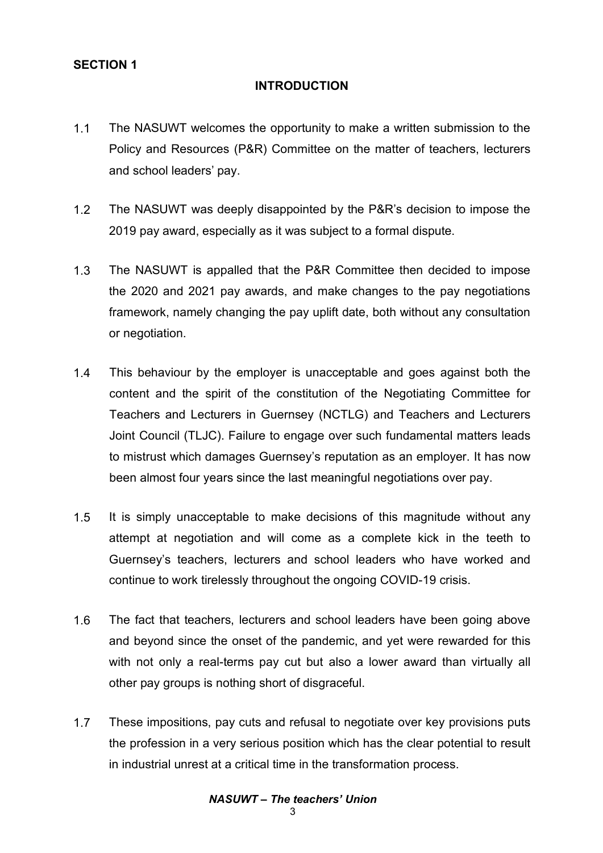### **SECTION 1**

#### **INTRODUCTION**

- 1.1 The NASUWT welcomes the opportunity to make a written submission to the Policy and Resources (P&R) Committee on the matter of teachers, lecturers and school leaders' pay.
- 1.2 The NASUWT was deeply disappointed by the P&R's decision to impose the 2019 pay award, especially as it was subject to a formal dispute.
- 1.3 The NASUWT is appalled that the P&R Committee then decided to impose the 2020 and 2021 pay awards, and make changes to the pay negotiations framework, namely changing the pay uplift date, both without any consultation or negotiation.
- 1.4 This behaviour by the employer is unacceptable and goes against both the content and the spirit of the constitution of the Negotiating Committee for Teachers and Lecturers in Guernsey (NCTLG) and Teachers and Lecturers Joint Council (TLJC). Failure to engage over such fundamental matters leads to mistrust which damages Guernsey's reputation as an employer. It has now been almost four years since the last meaningful negotiations over pay.
- 1.5 It is simply unacceptable to make decisions of this magnitude without any attempt at negotiation and will come as a complete kick in the teeth to Guernsey's teachers, lecturers and school leaders who have worked and continue to work tirelessly throughout the ongoing COVID-19 crisis.
- 1.6 The fact that teachers, lecturers and school leaders have been going above and beyond since the onset of the pandemic, and yet were rewarded for this with not only a real-terms pay cut but also a lower award than virtually all other pay groups is nothing short of disgraceful.
- 1.7 These impositions, pay cuts and refusal to negotiate over key provisions puts the profession in a very serious position which has the clear potential to result in industrial unrest at a critical time in the transformation process.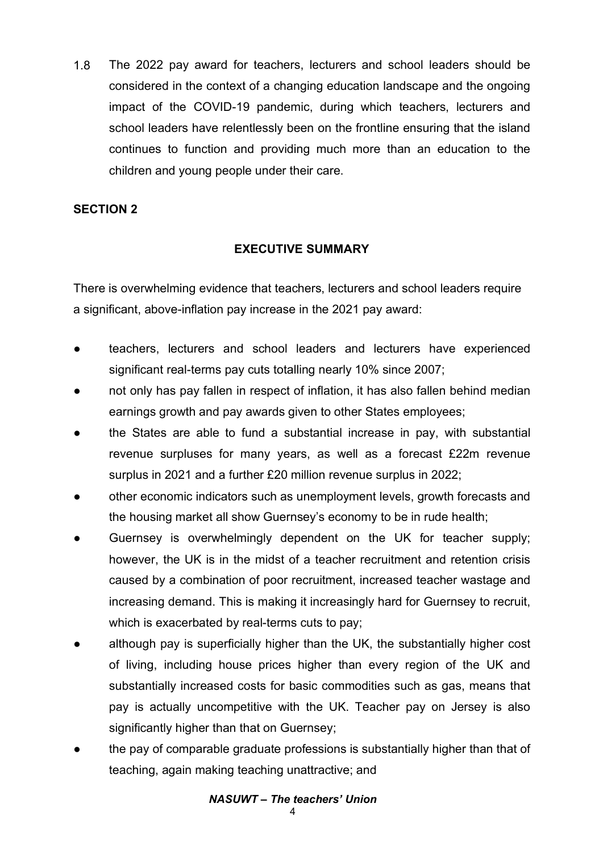1.8 The 2022 pay award for teachers, lecturers and school leaders should be considered in the context of a changing education landscape and the ongoing impact of the COVID-19 pandemic, during which teachers, lecturers and school leaders have relentlessly been on the frontline ensuring that the island continues to function and providing much more than an education to the children and young people under their care.

### **SECTION 2**

## **EXECUTIVE SUMMARY**

There is overwhelming evidence that teachers, lecturers and school leaders require a significant, above-inflation pay increase in the 2021 pay award:

- teachers, lecturers and school leaders and lecturers have experienced significant real-terms pay cuts totalling nearly 10% since 2007;
- not only has pay fallen in respect of inflation, it has also fallen behind median earnings growth and pay awards given to other States employees;
- the States are able to fund a substantial increase in pay, with substantial revenue surpluses for many years, as well as a forecast £22m revenue surplus in 2021 and a further £20 million revenue surplus in 2022;
- other economic indicators such as unemployment levels, growth forecasts and the housing market all show Guernsey's economy to be in rude health;
- Guernsey is overwhelmingly dependent on the UK for teacher supply; however, the UK is in the midst of a teacher recruitment and retention crisis caused by a combination of poor recruitment, increased teacher wastage and increasing demand. This is making it increasingly hard for Guernsey to recruit, which is exacerbated by real-terms cuts to pay;
- although pay is superficially higher than the UK, the substantially higher cost of living, including house prices higher than every region of the UK and substantially increased costs for basic commodities such as gas, means that pay is actually uncompetitive with the UK. Teacher pay on Jersey is also significantly higher than that on Guernsey;
- the pay of comparable graduate professions is substantially higher than that of teaching, again making teaching unattractive; and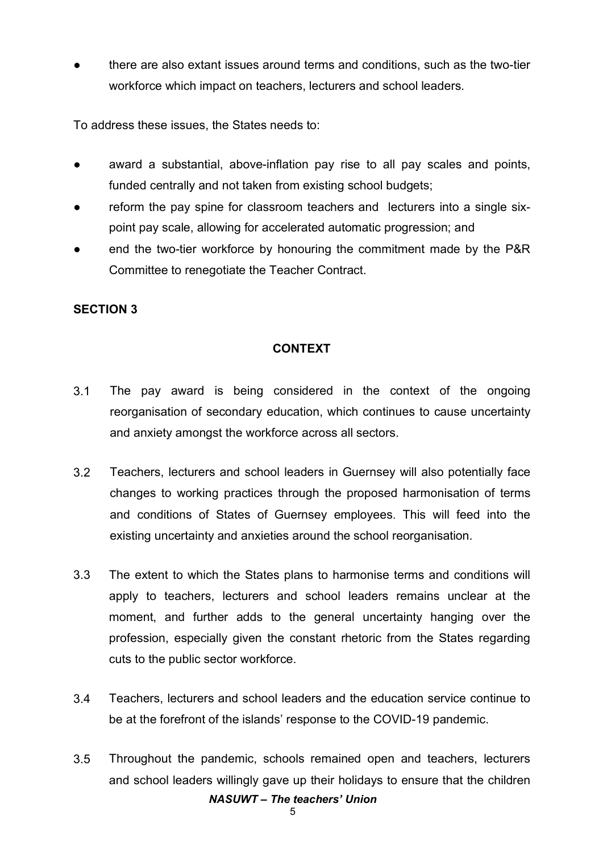there are also extant issues around terms and conditions, such as the two-tier workforce which impact on teachers, lecturers and school leaders.

To address these issues, the States needs to:

- award a substantial, above-inflation pay rise to all pay scales and points, funded centrally and not taken from existing school budgets;
- reform the pay spine for classroom teachers and lecturers into a single sixpoint pay scale, allowing for accelerated automatic progression; and
- end the two-tier workforce by honouring the commitment made by the P&R Committee to renegotiate the Teacher Contract.

## **SECTION 3**

## **CONTEXT**

- 3.1 The pay award is being considered in the context of the ongoing reorganisation of secondary education, which continues to cause uncertainty and anxiety amongst the workforce across all sectors.
- 3.2 Teachers, lecturers and school leaders in Guernsey will also potentially face changes to working practices through the proposed harmonisation of terms and conditions of States of Guernsey employees. This will feed into the existing uncertainty and anxieties around the school reorganisation.
- 3.3 The extent to which the States plans to harmonise terms and conditions will apply to teachers, lecturers and school leaders remains unclear at the moment, and further adds to the general uncertainty hanging over the profession, especially given the constant rhetoric from the States regarding cuts to the public sector workforce.
- 3.4 Teachers, lecturers and school leaders and the education service continue to be at the forefront of the islands' response to the COVID-19 pandemic.
- *NASUWT – The teachers' Union* 3.5 Throughout the pandemic, schools remained open and teachers, lecturers and school leaders willingly gave up their holidays to ensure that the children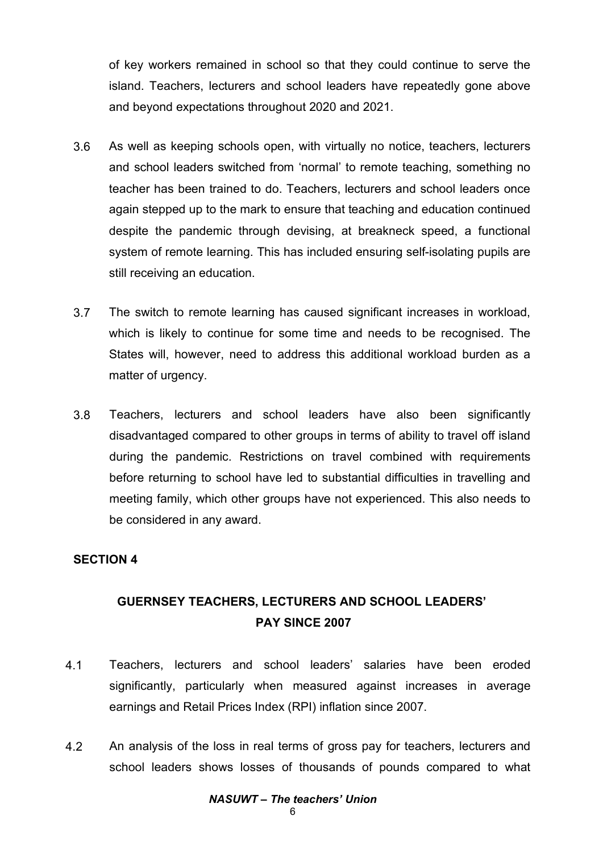of key workers remained in school so that they could continue to serve the island. Teachers, lecturers and school leaders have repeatedly gone above and beyond expectations throughout 2020 and 2021.

- 3.6 As well as keeping schools open, with virtually no notice, teachers, lecturers and school leaders switched from 'normal' to remote teaching, something no teacher has been trained to do. Teachers, lecturers and school leaders once again stepped up to the mark to ensure that teaching and education continued despite the pandemic through devising, at breakneck speed, a functional system of remote learning. This has included ensuring self-isolating pupils are still receiving an education.
- 3.7 The switch to remote learning has caused significant increases in workload, which is likely to continue for some time and needs to be recognised. The States will, however, need to address this additional workload burden as a matter of urgency.
- 3.8 Teachers, lecturers and school leaders have also been significantly disadvantaged compared to other groups in terms of ability to travel off island during the pandemic. Restrictions on travel combined with requirements before returning to school have led to substantial difficulties in travelling and meeting family, which other groups have not experienced. This also needs to be considered in any award.

#### **SECTION 4**

# **GUERNSEY TEACHERS, LECTURERS AND SCHOOL LEADERS' PAY SINCE 2007**

- 4.1 Teachers, lecturers and school leaders' salaries have been eroded significantly, particularly when measured against increases in average earnings and Retail Prices Index (RPI) inflation since 2007.
- 4.2 An analysis of the loss in real terms of gross pay for teachers, lecturers and school leaders shows losses of thousands of pounds compared to what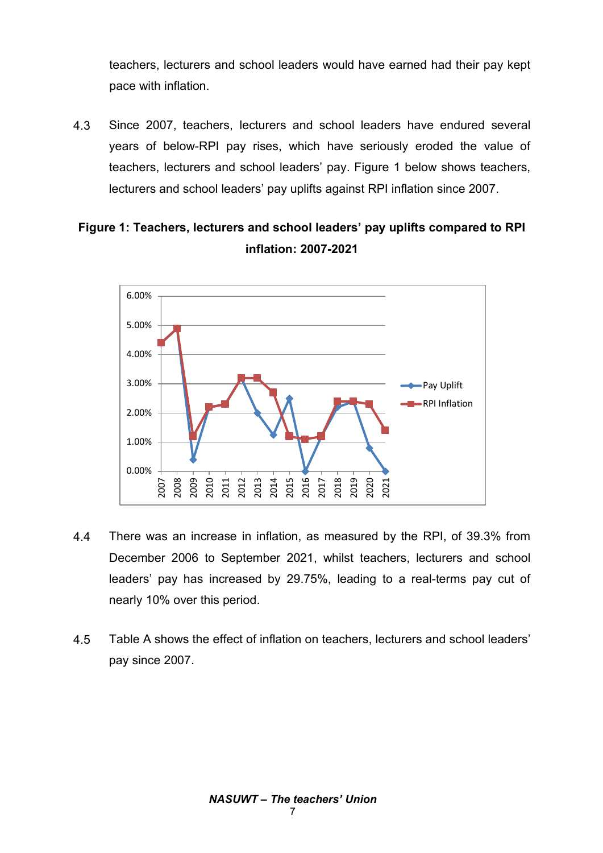teachers, lecturers and school leaders would have earned had their pay kept pace with inflation.

4.3 Since 2007, teachers, lecturers and school leaders have endured several years of below-RPI pay rises, which have seriously eroded the value of teachers, lecturers and school leaders' pay. Figure 1 below shows teachers, lecturers and school leaders' pay uplifts against RPI inflation since 2007.

# **Figure 1: Teachers, lecturers and school leaders' pay uplifts compared to RPI inflation: 2007-2021**



- 4.4 There was an increase in inflation, as measured by the RPI, of 39.3% from December 2006 to September 2021, whilst teachers, lecturers and school leaders' pay has increased by 29.75%, leading to a real-terms pay cut of nearly 10% over this period.
- 4.5 Table A shows the effect of inflation on teachers, lecturers and school leaders' pay since 2007.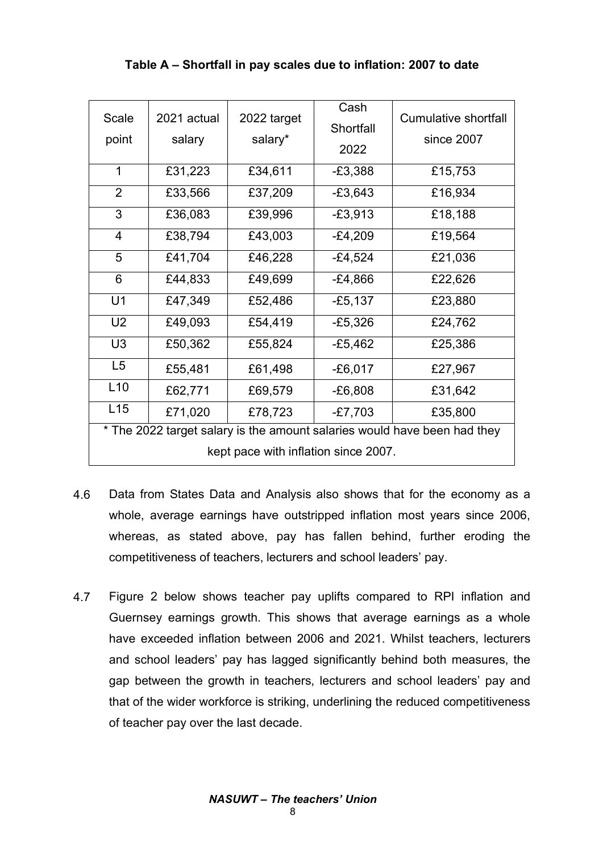| Scale                                                                    | 2021 actual | 2022 target | Cash<br>Shortfall | <b>Cumulative shortfall</b> |  |  |  |
|--------------------------------------------------------------------------|-------------|-------------|-------------------|-----------------------------|--|--|--|
| point                                                                    | salary      | salary*     | 2022              | since 2007                  |  |  |  |
| 1                                                                        | £31,223     | £34,611     | $-E3,388$         | £15,753                     |  |  |  |
| 2                                                                        | £33,566     | £37,209     | $-£3,643$         | £16,934                     |  |  |  |
| 3                                                                        | £36,083     | £39,996     | $-E3,913$         | £18,188                     |  |  |  |
| $\overline{4}$                                                           | £38,794     | £43,003     | $-E4,209$         | £19,564                     |  |  |  |
| 5                                                                        | £41,704     | £46,228     | $-E4,524$         | £21,036                     |  |  |  |
| 6                                                                        | £44,833     | £49,699     | $-E4,866$         | £22,626                     |  |  |  |
| U1                                                                       | £47,349     | £52,486     | $-£5,137$         | £23,880                     |  |  |  |
| U <sub>2</sub>                                                           | £49,093     | £54,419     | $-E5,326$         | £24,762                     |  |  |  |
| U <sub>3</sub>                                                           | £50,362     | £55,824     | $-E5,462$         | £25,386                     |  |  |  |
| L5                                                                       | £55,481     | £61,498     | $-E6,017$         | £27,967                     |  |  |  |
| L10                                                                      | £62,771     | £69,579     | $-E6,808$         | £31,642                     |  |  |  |
| L15                                                                      | £71,020     | £78,723     | $-E7,703$         | £35,800                     |  |  |  |
| * The 2022 target salary is the amount salaries would have been had they |             |             |                   |                             |  |  |  |
| kept pace with inflation since 2007.                                     |             |             |                   |                             |  |  |  |

### **Table A – Shortfall in pay scales due to inflation: 2007 to date**

- 4.6 Data from States Data and Analysis also shows that for the economy as a whole, average earnings have outstripped inflation most years since 2006, whereas, as stated above, pay has fallen behind, further eroding the competitiveness of teachers, lecturers and school leaders' pay.
- 4.7 Figure 2 below shows teacher pay uplifts compared to RPI inflation and Guernsey earnings growth. This shows that average earnings as a whole have exceeded inflation between 2006 and 2021. Whilst teachers, lecturers and school leaders' pay has lagged significantly behind both measures, the gap between the growth in teachers, lecturers and school leaders' pay and that of the wider workforce is striking, underlining the reduced competitiveness of teacher pay over the last decade.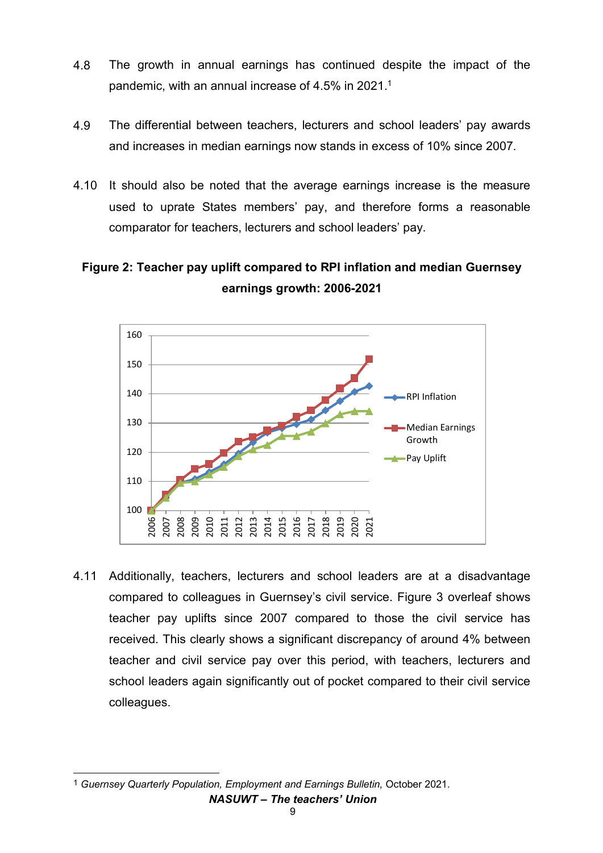- 4.8 The growth in annual earnings has continued despite the impact of the pandemic, with an annual increase of 4.5% in 2021.<sup>1</sup>
- 4.9 The differential between teachers, lecturers and school leaders' pay awards and increases in median earnings now stands in excess of 10% since 2007.
- 4.10 It should also be noted that the average earnings increase is the measure used to uprate States members' pay, and therefore forms a reasonable comparator for teachers, lecturers and school leaders' pay.

# **Figure 2: Teacher pay uplift compared to RPI inflation and median Guernsey earnings growth: 2006-2021**



4.11 Additionally, teachers, lecturers and school leaders are at a disadvantage compared to colleagues in Guernsey's civil service. Figure 3 overleaf shows teacher pay uplifts since 2007 compared to those the civil service has received. This clearly shows a significant discrepancy of around 4% between teacher and civil service pay over this period, with teachers, lecturers and school leaders again significantly out of pocket compared to their civil service colleagues.

*NASUWT – The teachers' Union*  $\overline{a}$ 1 *Guernsey Quarterly Population, Employment and Earnings Bulletin,* October 2021.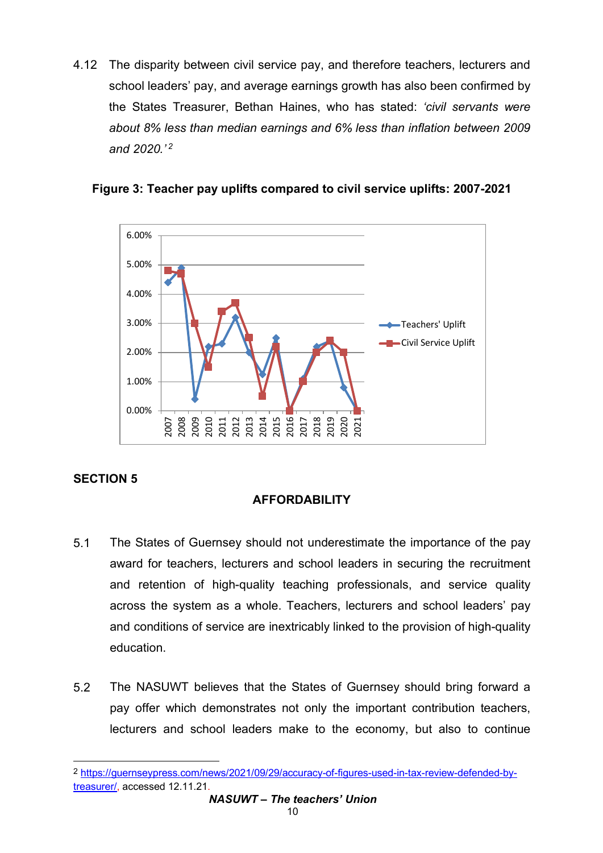4.12 The disparity between civil service pay, and therefore teachers, lecturers and school leaders' pay, and average earnings growth has also been confirmed by the States Treasurer, Bethan Haines, who has stated: *'civil servants were about 8% less than median earnings and 6% less than inflation between 2009 and 2020.' <sup>2</sup>*



**Figure 3: Teacher pay uplifts compared to civil service uplifts: 2007-2021**

# **SECTION 5**

# **AFFORDABILITY**

- 5.1 The States of Guernsey should not underestimate the importance of the pay award for teachers, lecturers and school leaders in securing the recruitment and retention of high-quality teaching professionals, and service quality across the system as a whole. Teachers, lecturers and school leaders' pay and conditions of service are inextricably linked to the provision of high-quality education.
- 5.2 The NASUWT believes that the States of Guernsey should bring forward a pay offer which demonstrates not only the important contribution teachers, lecturers and school leaders make to the economy, but also to continue

 $\overline{a}$ 2 https://guernseypress.com/news/2021/09/29/accuracy-of-figures-used-in-tax-review-defended-bytreasurer/, accessed 12.11.21.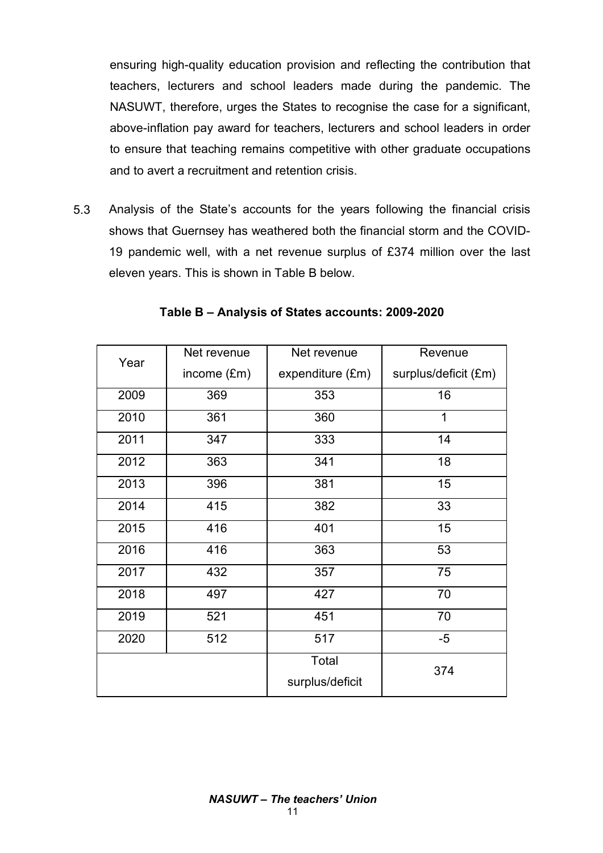ensuring high-quality education provision and reflecting the contribution that teachers, lecturers and school leaders made during the pandemic. The NASUWT, therefore, urges the States to recognise the case for a significant, above-inflation pay award for teachers, lecturers and school leaders in order to ensure that teaching remains competitive with other graduate occupations and to avert a recruitment and retention crisis.

5.3 Analysis of the State's accounts for the years following the financial crisis shows that Guernsey has weathered both the financial storm and the COVID-19 pandemic well, with a net revenue surplus of £374 million over the last eleven years. This is shown in Table B below.

| Year | Net revenue | Net revenue      | Revenue              |
|------|-------------|------------------|----------------------|
|      | income (£m) | expenditure (£m) | surplus/deficit (£m) |
| 2009 | 369         | 353              | 16                   |
| 2010 | 361         | 360              | 1                    |
| 2011 | 347         | 333              | 14                   |
| 2012 | 363         | 341              | 18                   |
| 2013 | 396         | 381              | 15                   |
| 2014 | 415         | 382              | 33                   |
| 2015 | 416         | 401              | 15                   |
| 2016 | 416         | 363              | 53                   |
| 2017 | 432         | 357              | 75                   |
| 2018 | 497         | 427              | 70                   |
| 2019 | 521         | 451              | 70                   |
| 2020 | 512         | 517              | $-5$                 |
|      |             | Total            | 374                  |
|      |             | surplus/deficit  |                      |

**Table B – Analysis of States accounts: 2009-2020**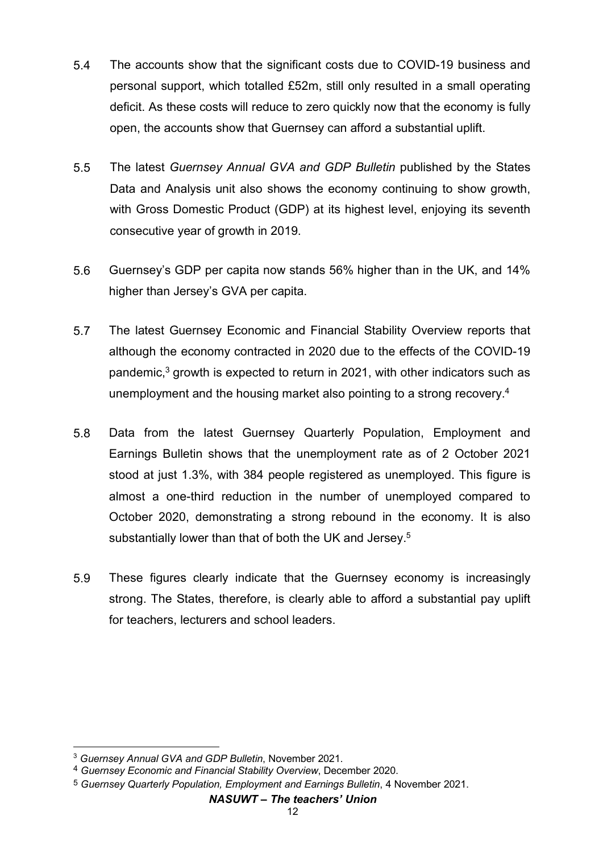- 5.4 The accounts show that the significant costs due to COVID-19 business and personal support, which totalled £52m, still only resulted in a small operating deficit. As these costs will reduce to zero quickly now that the economy is fully open, the accounts show that Guernsey can afford a substantial uplift.
- 5.5 The latest *Guernsey Annual GVA and GDP Bulletin* published by the States Data and Analysis unit also shows the economy continuing to show growth, with Gross Domestic Product (GDP) at its highest level, enjoying its seventh consecutive year of growth in 2019.
- 5.6 Guernsey's GDP per capita now stands 56% higher than in the UK, and 14% higher than Jersey's GVA per capita.
- 5.7 The latest Guernsey Economic and Financial Stability Overview reports that although the economy contracted in 2020 due to the effects of the COVID-19 pandemic,<sup>3</sup> growth is expected to return in 2021, with other indicators such as unemployment and the housing market also pointing to a strong recovery.4
- 5.8 Data from the latest Guernsey Quarterly Population, Employment and Earnings Bulletin shows that the unemployment rate as of 2 October 2021 stood at just 1.3%, with 384 people registered as unemployed. This figure is almost a one-third reduction in the number of unemployed compared to October 2020, demonstrating a strong rebound in the economy. It is also substantially lower than that of both the UK and Jersey.<sup>5</sup>
- 5.9 These figures clearly indicate that the Guernsey economy is increasingly strong. The States, therefore, is clearly able to afford a substantial pay uplift for teachers, lecturers and school leaders.

#### *NASUWT – The teachers' Union*

 $\overline{a}$ <sup>3</sup> *Guernsey Annual GVA and GDP Bulletin*, November 2021.

<sup>4</sup> *Guernsey Economic and Financial Stability Overview*, December 2020.

<sup>5</sup> *Guernsey Quarterly Population, Employment and Earnings Bulletin*, 4 November 2021.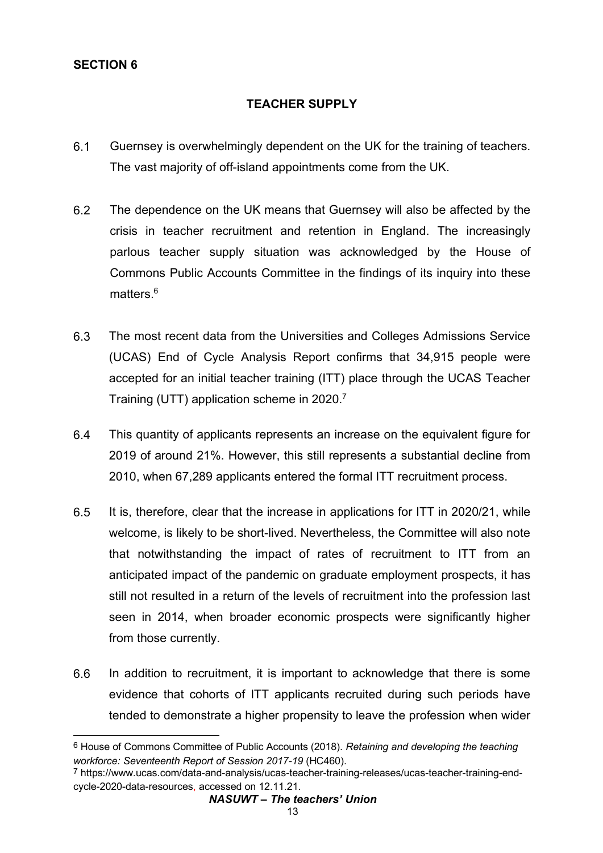# **SECTION 6**

 $\overline{a}$ 

# **TEACHER SUPPLY**

- 6.1 Guernsey is overwhelmingly dependent on the UK for the training of teachers. The vast majority of off-island appointments come from the UK.
- 6.2 The dependence on the UK means that Guernsey will also be affected by the crisis in teacher recruitment and retention in England. The increasingly parlous teacher supply situation was acknowledged by the House of Commons Public Accounts Committee in the findings of its inquiry into these matters  $6$
- 6.3 The most recent data from the Universities and Colleges Admissions Service (UCAS) End of Cycle Analysis Report confirms that 34,915 people were accepted for an initial teacher training (ITT) place through the UCAS Teacher Training (UTT) application scheme in 2020.7
- 6.4 This quantity of applicants represents an increase on the equivalent figure for 2019 of around 21%. However, this still represents a substantial decline from 2010, when 67,289 applicants entered the formal ITT recruitment process.
- 6.5 It is, therefore, clear that the increase in applications for ITT in 2020/21, while welcome, is likely to be short-lived. Nevertheless, the Committee will also note that notwithstanding the impact of rates of recruitment to ITT from an anticipated impact of the pandemic on graduate employment prospects, it has still not resulted in a return of the levels of recruitment into the profession last seen in 2014, when broader economic prospects were significantly higher from those currently.
- 6.6 In addition to recruitment, it is important to acknowledge that there is some evidence that cohorts of ITT applicants recruited during such periods have tended to demonstrate a higher propensity to leave the profession when wider

<sup>6</sup> House of Commons Committee of Public Accounts (2018). *Retaining and developing the teaching workforce: Seventeenth Report of Session 2017-19* (HC460).

<sup>7</sup> https://www.ucas.com/data-and-analysis/ucas-teacher-training-releases/ucas-teacher-training-endcycle-2020-data-resources, accessed on 12.11.21.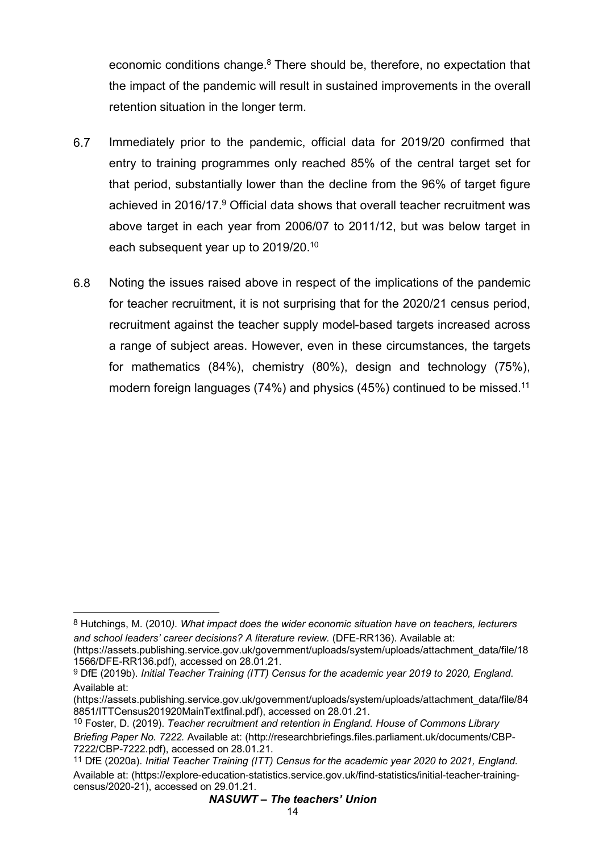economic conditions change.<sup>8</sup> There should be, therefore, no expectation that the impact of the pandemic will result in sustained improvements in the overall retention situation in the longer term.

- 6.7 Immediately prior to the pandemic, official data for 2019/20 confirmed that entry to training programmes only reached 85% of the central target set for that period, substantially lower than the decline from the 96% of target figure achieved in 2016/17.<sup>9</sup> Official data shows that overall teacher recruitment was above target in each year from 2006/07 to 2011/12, but was below target in each subsequent year up to 2019/20.10
- 6.8 Noting the issues raised above in respect of the implications of the pandemic for teacher recruitment, it is not surprising that for the 2020/21 census period, recruitment against the teacher supply model-based targets increased across a range of subject areas. However, even in these circumstances, the targets for mathematics (84%), chemistry (80%), design and technology (75%), modern foreign languages (74%) and physics (45%) continued to be missed.<sup>11</sup>

 $\overline{a}$ 8 Hutchings, M. (2010*). What impact does the wider economic situation have on teachers, lecturers and school leaders' career decisions? A literature review.* (DFE-RR136). Available at:

<sup>(</sup>https://assets.publishing.service.gov.uk/government/uploads/system/uploads/attachment\_data/file/18 1566/DFE-RR136.pdf), accessed on 28.01.21.

<sup>9</sup> DfE (2019b). *Initial Teacher Training (ITT) Census for the academic year 2019 to 2020, England*. Available at:

<sup>(</sup>https://assets.publishing.service.gov.uk/government/uploads/system/uploads/attachment\_data/file/84 8851/ITTCensus201920MainTextfinal.pdf), accessed on 28.01.21.<br><sup>10</sup> Foster, D. (2019). *Teacher recruitment and retention in England. House of Commons Library* 

*Briefing Paper No. 7222.* Available at: (http://researchbriefings.files.parliament.uk/documents/CBP-

<sup>&</sup>lt;sup>11</sup> DfE (2020a). *Initial Teacher Training (ITT) Census for the academic year 2020 to 2021, England.* Available at: (https://explore-education-statistics.service.gov.uk/find-statistics/initial-teacher-trainingcensus/2020-21), accessed on 29.01.21.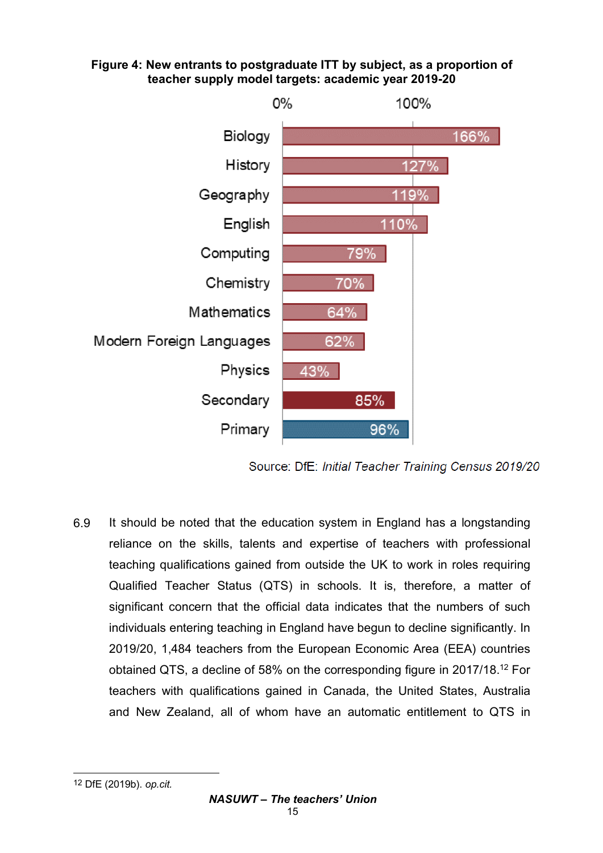### **Figure 4: New entrants to postgraduate ITT by subject, as a proportion of teacher supply model targets: academic year 2019-20**



Source: DfE: Initial Teacher Training Census 2019/20

6.9 It should be noted that the education system in England has a longstanding reliance on the skills, talents and expertise of teachers with professional teaching qualifications gained from outside the UK to work in roles requiring Qualified Teacher Status (QTS) in schools. It is, therefore, a matter of significant concern that the official data indicates that the numbers of such individuals entering teaching in England have begun to decline significantly. In 2019/20, 1,484 teachers from the European Economic Area (EEA) countries obtained QTS, a decline of 58% on the corresponding figure in 2017/18.12 For teachers with qualifications gained in Canada, the United States, Australia and New Zealand, all of whom have an automatic entitlement to QTS in

 $\overline{a}$ 12 DfE (2019b). *op.cit.*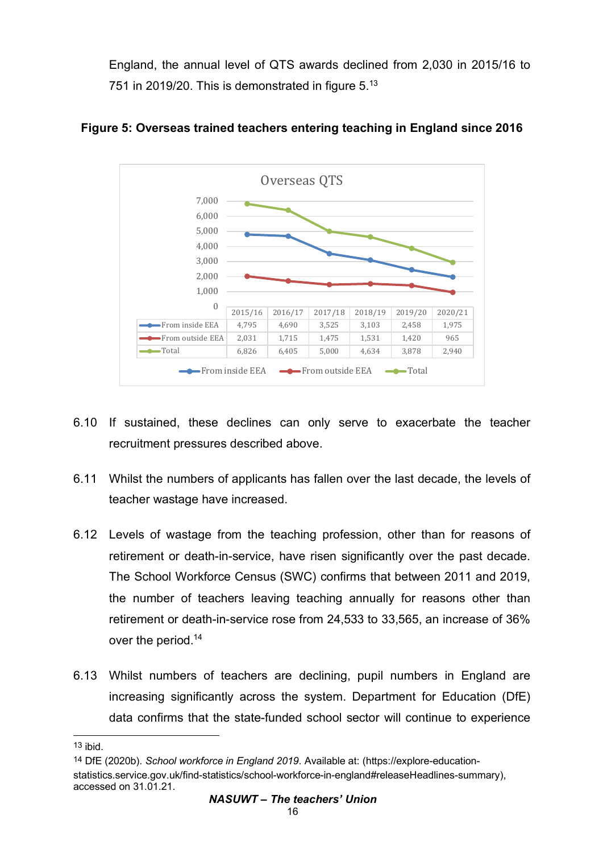England, the annual level of QTS awards declined from 2,030 in 2015/16 to 751 in 2019/20. This is demonstrated in figure 5.13



# **Figure 5: Overseas trained teachers entering teaching in England since 2016**

- 6.10 If sustained, these declines can only serve to exacerbate the teacher recruitment pressures described above.
- 6.11 Whilst the numbers of applicants has fallen over the last decade, the levels of teacher wastage have increased.
- 6.12 Levels of wastage from the teaching profession, other than for reasons of retirement or death-in-service, have risen significantly over the past decade. The School Workforce Census (SWC) confirms that between 2011 and 2019, the number of teachers leaving teaching annually for reasons other than retirement or death-in-service rose from 24,533 to 33,565, an increase of 36% over the period.14
- 6.13 Whilst numbers of teachers are declining, pupil numbers in England are increasing significantly across the system. Department for Education (DfE) data confirms that the state-funded school sector will continue to experience

 $\overline{a}$ 

 $13$  ibid.

<sup>14</sup> DfE (2020b). *School workforce in England 2019*. Available at: (https://explore-educationstatistics.service.gov.uk/find-statistics/school-workforce-in-england#releaseHeadlines-summary), accessed on 31.01.21.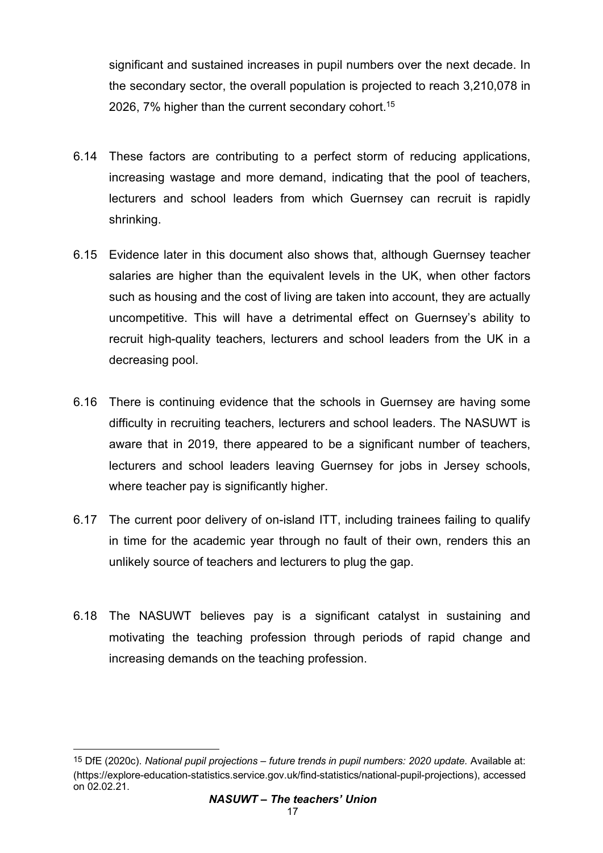significant and sustained increases in pupil numbers over the next decade. In the secondary sector, the overall population is projected to reach 3,210,078 in 2026, 7% higher than the current secondary cohort.<sup>15</sup>

- 6.14 These factors are contributing to a perfect storm of reducing applications, increasing wastage and more demand, indicating that the pool of teachers, lecturers and school leaders from which Guernsey can recruit is rapidly shrinking.
- 6.15 Evidence later in this document also shows that, although Guernsey teacher salaries are higher than the equivalent levels in the UK, when other factors such as housing and the cost of living are taken into account, they are actually uncompetitive. This will have a detrimental effect on Guernsey's ability to recruit high-quality teachers, lecturers and school leaders from the UK in a decreasing pool.
- 6.16 There is continuing evidence that the schools in Guernsey are having some difficulty in recruiting teachers, lecturers and school leaders. The NASUWT is aware that in 2019, there appeared to be a significant number of teachers, lecturers and school leaders leaving Guernsey for jobs in Jersey schools, where teacher pay is significantly higher.
- 6.17 The current poor delivery of on-island ITT, including trainees failing to qualify in time for the academic year through no fault of their own, renders this an unlikely source of teachers and lecturers to plug the gap.
- 6.18 The NASUWT believes pay is a significant catalyst in sustaining and motivating the teaching profession through periods of rapid change and increasing demands on the teaching profession.

 $\overline{a}$ 15 DfE (2020c). *National pupil projections – future trends in pupil numbers: 2020 update.* Available at: (https://explore-education-statistics.service.gov.uk/find-statistics/national-pupil-projections), accessed on 02.02.21.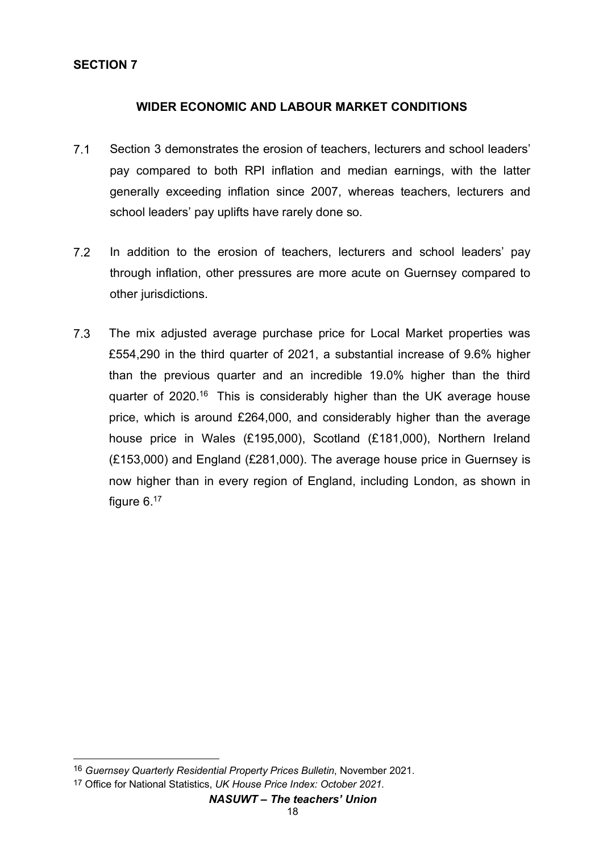### **SECTION 7**

#### **WIDER ECONOMIC AND LABOUR MARKET CONDITIONS**

- 7.1 Section 3 demonstrates the erosion of teachers, lecturers and school leaders' pay compared to both RPI inflation and median earnings, with the latter generally exceeding inflation since 2007, whereas teachers, lecturers and school leaders' pay uplifts have rarely done so.
- 7.2 In addition to the erosion of teachers, lecturers and school leaders' pay through inflation, other pressures are more acute on Guernsey compared to other jurisdictions.
- 7.3 The mix adjusted average purchase price for Local Market properties was £554,290 in the third quarter of 2021, a substantial increase of 9.6% higher than the previous quarter and an incredible 19.0% higher than the third quarter of 2020.<sup>16</sup> This is considerably higher than the UK average house price, which is around £264,000, and considerably higher than the average house price in Wales (£195,000), Scotland (£181,000), Northern Ireland (£153,000) and England (£281,000). The average house price in Guernsey is now higher than in every region of England, including London, as shown in figure 6.<sup>17</sup>

 $\overline{a}$ 

<sup>16</sup> *Guernsey Quarterly Residential Property Prices Bulletin*, November 2021.

<sup>17</sup> Office for National Statistics, *UK House Price Index: October 2021.*

*NASUWT – The teachers' Union*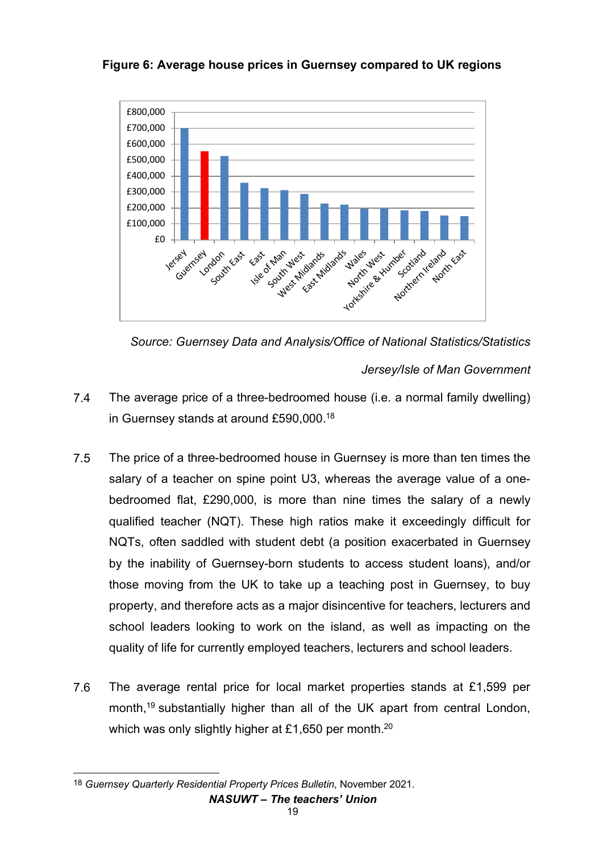## **Figure 6: Average house prices in Guernsey compared to UK regions**





*Jersey/Isle of Man Government*

- 7.4 The average price of a three-bedroomed house (i.e. a normal family dwelling) in Guernsey stands at around £590,000.18
- 7.5 The price of a three-bedroomed house in Guernsey is more than ten times the salary of a teacher on spine point U3, whereas the average value of a onebedroomed flat, £290,000, is more than nine times the salary of a newly qualified teacher (NQT). These high ratios make it exceedingly difficult for NQTs, often saddled with student debt (a position exacerbated in Guernsey by the inability of Guernsey-born students to access student loans), and/or those moving from the UK to take up a teaching post in Guernsey, to buy property, and therefore acts as a major disincentive for teachers, lecturers and school leaders looking to work on the island, as well as impacting on the quality of life for currently employed teachers, lecturers and school leaders.
- 7.6 The average rental price for local market properties stands at £1,599 per month.<sup>19</sup> substantially higher than all of the UK apart from central London, which was only slightly higher at £1,650 per month.<sup>20</sup>

*NASUWT – The teachers' Union*  $\overline{a}$ 18 *Guernsey Quarterly Residential Property Prices Bulletin*, November 2021.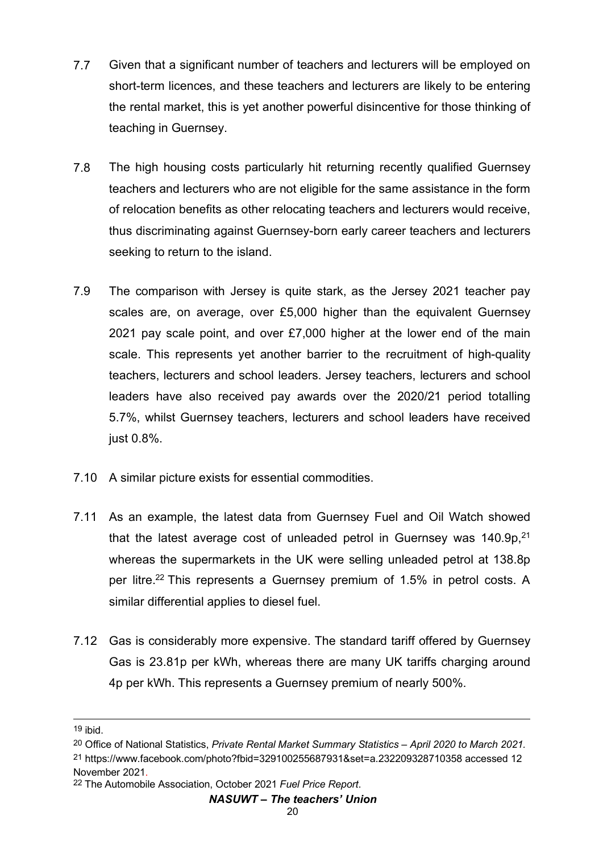- 7.7 Given that a significant number of teachers and lecturers will be employed on short-term licences, and these teachers and lecturers are likely to be entering the rental market, this is yet another powerful disincentive for those thinking of teaching in Guernsey.
- 7.8 The high housing costs particularly hit returning recently qualified Guernsey teachers and lecturers who are not eligible for the same assistance in the form of relocation benefits as other relocating teachers and lecturers would receive, thus discriminating against Guernsey-born early career teachers and lecturers seeking to return to the island.
- 7.9 The comparison with Jersey is quite stark, as the Jersey 2021 teacher pay scales are, on average, over £5,000 higher than the equivalent Guernsey 2021 pay scale point, and over £7,000 higher at the lower end of the main scale. This represents yet another barrier to the recruitment of high-quality teachers, lecturers and school leaders. Jersey teachers, lecturers and school leaders have also received pay awards over the 2020/21 period totalling 5.7%, whilst Guernsey teachers, lecturers and school leaders have received just 0.8%.
- 7.10 A similar picture exists for essential commodities.
- 7.11 As an example, the latest data from Guernsey Fuel and Oil Watch showed that the latest average cost of unleaded petrol in Guernsey was  $140.9p<sup>21</sup>$ whereas the supermarkets in the UK were selling unleaded petrol at 138.8p per litre.<sup>22</sup> This represents a Guernsey premium of 1.5% in petrol costs. A similar differential applies to diesel fuel.
- 7.12 Gas is considerably more expensive. The standard tariff offered by Guernsey Gas is 23.81p per kWh, whereas there are many UK tariffs charging around 4p per kWh. This represents a Guernsey premium of nearly 500%.

 $\overline{a}$ 19 ibid.

<sup>20</sup> Office of National Statistics, *Private Rental Market Summary Statistics – April 2020 to March 2021.*

<sup>21</sup> https://www.facebook.com/photo?fbid=329100255687931&set=a.232209328710358 accessed 12 November 2021.

<sup>22</sup> The Automobile Association, October 2021 *Fuel Price Report*.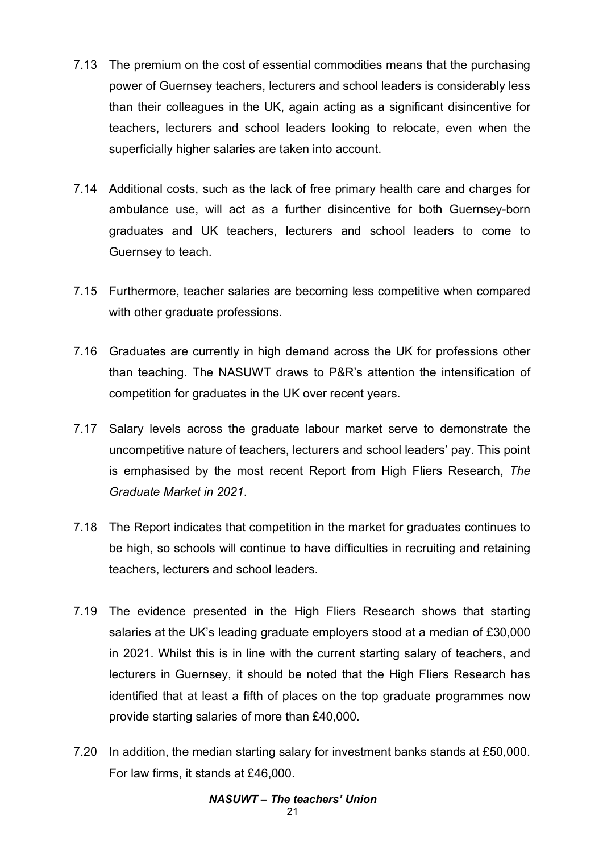- 7.13 The premium on the cost of essential commodities means that the purchasing power of Guernsey teachers, lecturers and school leaders is considerably less than their colleagues in the UK, again acting as a significant disincentive for teachers, lecturers and school leaders looking to relocate, even when the superficially higher salaries are taken into account.
- 7.14 Additional costs, such as the lack of free primary health care and charges for ambulance use, will act as a further disincentive for both Guernsey-born graduates and UK teachers, lecturers and school leaders to come to Guernsey to teach.
- 7.15 Furthermore, teacher salaries are becoming less competitive when compared with other graduate professions.
- 7.16 Graduates are currently in high demand across the UK for professions other than teaching. The NASUWT draws to P&R's attention the intensification of competition for graduates in the UK over recent years.
- 7.17 Salary levels across the graduate labour market serve to demonstrate the uncompetitive nature of teachers, lecturers and school leaders' pay. This point is emphasised by the most recent Report from High Fliers Research, *The Graduate Market in 2021*.
- 7.18 The Report indicates that competition in the market for graduates continues to be high, so schools will continue to have difficulties in recruiting and retaining teachers, lecturers and school leaders.
- 7.19 The evidence presented in the High Fliers Research shows that starting salaries at the UK's leading graduate employers stood at a median of £30,000 in 2021. Whilst this is in line with the current starting salary of teachers, and lecturers in Guernsey, it should be noted that the High Fliers Research has identified that at least a fifth of places on the top graduate programmes now provide starting salaries of more than £40,000.
- 7.20 In addition, the median starting salary for investment banks stands at £50,000. For law firms, it stands at £46,000.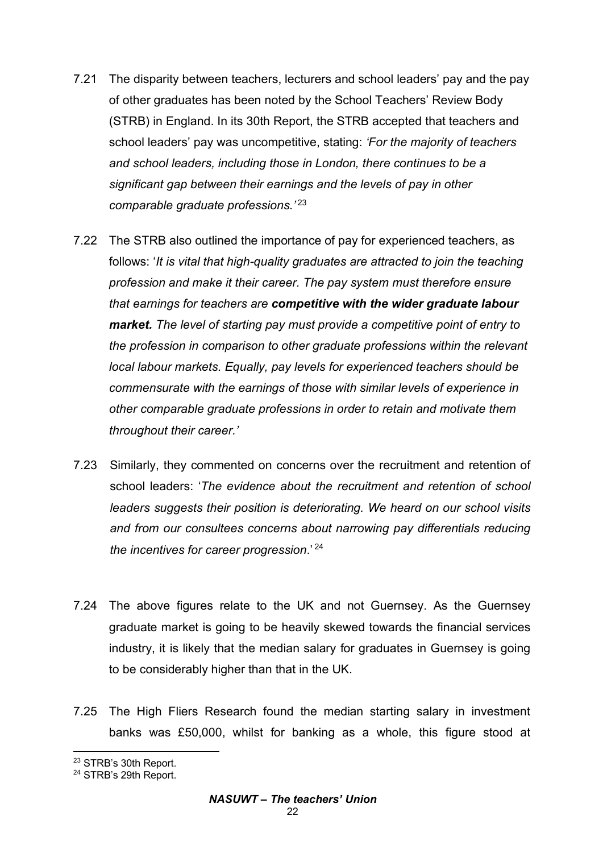- 7.21 The disparity between teachers, lecturers and school leaders' pay and the pay of other graduates has been noted by the School Teachers' Review Body (STRB) in England. In its 30th Report, the STRB accepted that teachers and school leaders' pay was uncompetitive, stating: *'For the majority of teachers and school leaders, including those in London, there continues to be a significant gap between their earnings and the levels of pay in other comparable graduate professions.'* <sup>23</sup>
- 7.22 The STRB also outlined the importance of pay for experienced teachers, as follows: '*It is vital that high-quality graduates are attracted to join the teaching profession and make it their career. The pay system must therefore ensure that earnings for teachers are competitive with the wider graduate labour market. The level of starting pay must provide a competitive point of entry to the profession in comparison to other graduate professions within the relevant local labour markets. Equally, pay levels for experienced teachers should be commensurate with the earnings of those with similar levels of experience in other comparable graduate professions in order to retain and motivate them throughout their career.'*
- 7.23 Similarly, they commented on concerns over the recruitment and retention of school leaders: '*The evidence about the recruitment and retention of school leaders suggests their position is deteriorating. We heard on our school visits and from our consultees concerns about narrowing pay differentials reducing the incentives for career progression*.' <sup>24</sup>
- 7.24 The above figures relate to the UK and not Guernsey. As the Guernsey graduate market is going to be heavily skewed towards the financial services industry, it is likely that the median salary for graduates in Guernsey is going to be considerably higher than that in the UK.
- 7.25 The High Fliers Research found the median starting salary in investment banks was £50,000, whilst for banking as a whole, this figure stood at

 $\overline{a}$ <sup>23</sup> STRB's 30th Report.

<sup>&</sup>lt;sup>24</sup> STRB's 29th Report.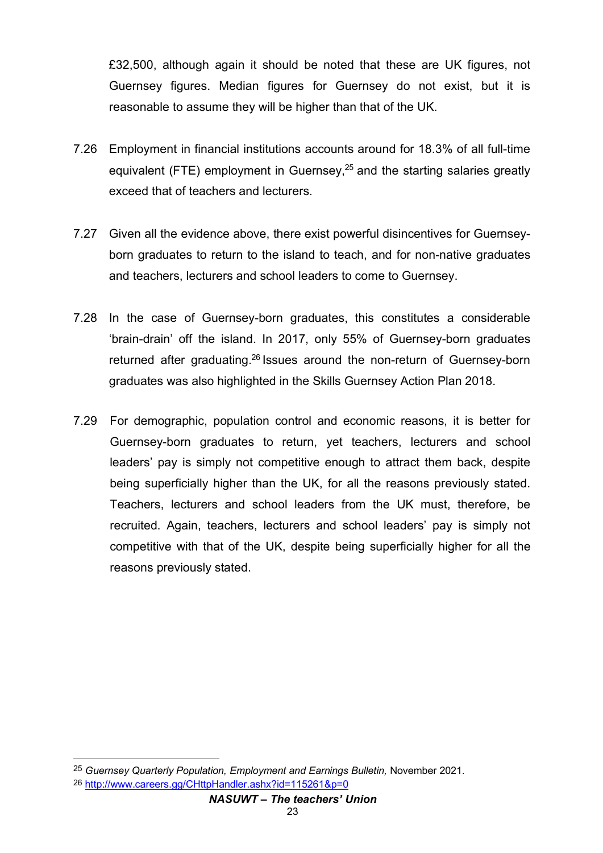£32,500, although again it should be noted that these are UK figures, not Guernsey figures. Median figures for Guernsey do not exist, but it is reasonable to assume they will be higher than that of the UK.

- 7.26 Employment in financial institutions accounts around for 18.3% of all full-time equivalent (FTE) employment in Guernsey,<sup>25</sup> and the starting salaries greatly exceed that of teachers and lecturers.
- 7.27 Given all the evidence above, there exist powerful disincentives for Guernseyborn graduates to return to the island to teach, and for non-native graduates and teachers, lecturers and school leaders to come to Guernsey.
- 7.28 In the case of Guernsey-born graduates, this constitutes a considerable 'brain-drain' off the island. In 2017, only 55% of Guernsey-born graduates returned after graduating.26 Issues around the non-return of Guernsey-born graduates was also highlighted in the Skills Guernsey Action Plan 2018.
- 7.29 For demographic, population control and economic reasons, it is better for Guernsey-born graduates to return, yet teachers, lecturers and school leaders' pay is simply not competitive enough to attract them back, despite being superficially higher than the UK, for all the reasons previously stated. Teachers, lecturers and school leaders from the UK must, therefore, be recruited. Again, teachers, lecturers and school leaders' pay is simply not competitive with that of the UK, despite being superficially higher for all the reasons previously stated.

 $\overline{a}$ 

<sup>25</sup> *Guernsey Quarterly Population, Employment and Earnings Bulletin,* November 2021. 26 http://www.careers.gg/CHttpHandler.ashx?id=115261&p=0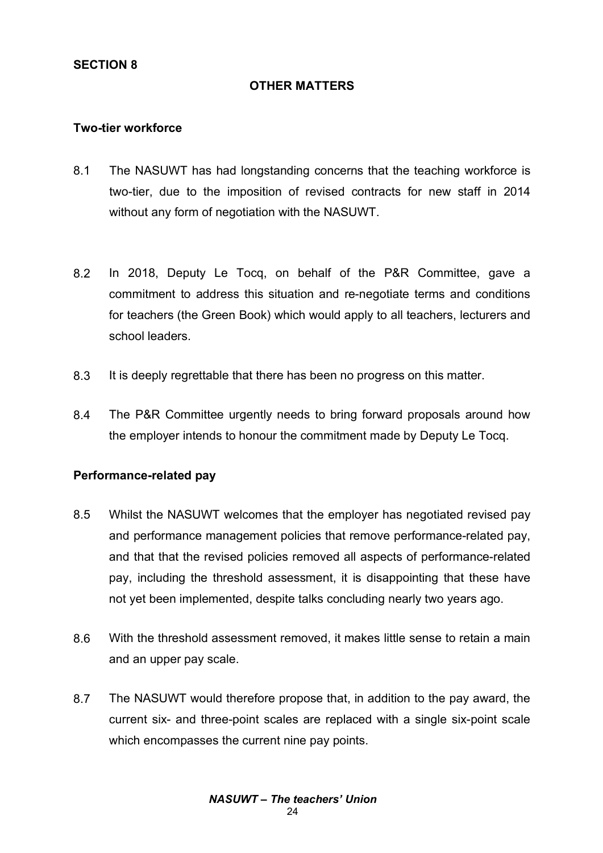### **OTHER MATTERS**

#### **Two-tier workforce**

- 8.1 The NASUWT has had longstanding concerns that the teaching workforce is two-tier, due to the imposition of revised contracts for new staff in 2014 without any form of negotiation with the NASUWT.
- 8.2 In 2018, Deputy Le Tocq, on behalf of the P&R Committee, gave a commitment to address this situation and re-negotiate terms and conditions for teachers (the Green Book) which would apply to all teachers, lecturers and school leaders.
- 8.3 It is deeply regrettable that there has been no progress on this matter.
- 8.4 The P&R Committee urgently needs to bring forward proposals around how the employer intends to honour the commitment made by Deputy Le Tocq.

#### **Performance-related pay**

- 8.5 Whilst the NASUWT welcomes that the employer has negotiated revised pay and performance management policies that remove performance-related pay, and that that the revised policies removed all aspects of performance-related pay, including the threshold assessment, it is disappointing that these have not yet been implemented, despite talks concluding nearly two years ago.
- 8.6 With the threshold assessment removed, it makes little sense to retain a main and an upper pay scale.
- 8.7 The NASUWT would therefore propose that, in addition to the pay award, the current six- and three-point scales are replaced with a single six-point scale which encompasses the current nine pay points.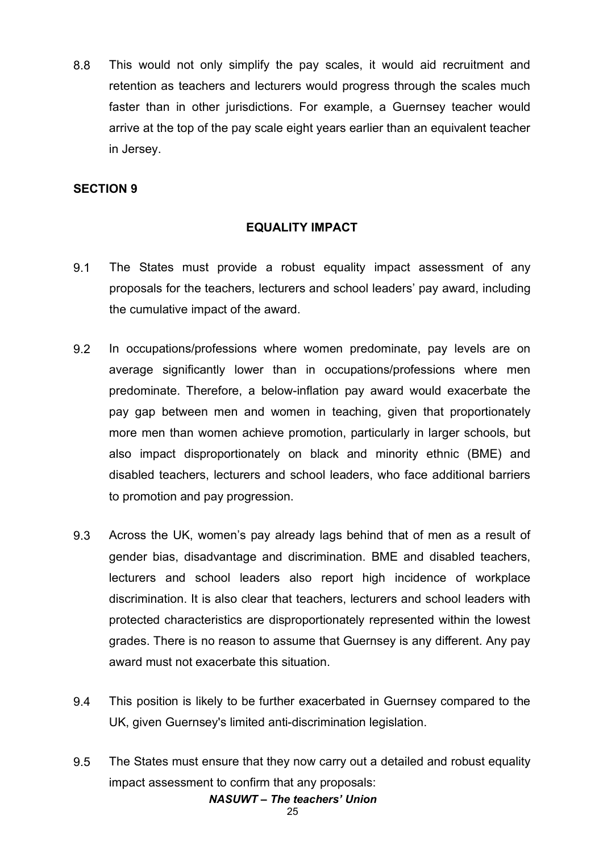8.8 This would not only simplify the pay scales, it would aid recruitment and retention as teachers and lecturers would progress through the scales much faster than in other jurisdictions. For example, a Guernsey teacher would arrive at the top of the pay scale eight years earlier than an equivalent teacher in Jersey.

### **SECTION 9**

#### **EQUALITY IMPACT**

- 9.1 The States must provide a robust equality impact assessment of any proposals for the teachers, lecturers and school leaders' pay award, including the cumulative impact of the award.
- 9.2 In occupations/professions where women predominate, pay levels are on average significantly lower than in occupations/professions where men predominate. Therefore, a below-inflation pay award would exacerbate the pay gap between men and women in teaching, given that proportionately more men than women achieve promotion, particularly in larger schools, but also impact disproportionately on black and minority ethnic (BME) and disabled teachers, lecturers and school leaders, who face additional barriers to promotion and pay progression.
- 9.3 Across the UK, women's pay already lags behind that of men as a result of gender bias, disadvantage and discrimination. BME and disabled teachers, lecturers and school leaders also report high incidence of workplace discrimination. It is also clear that teachers, lecturers and school leaders with protected characteristics are disproportionately represented within the lowest grades. There is no reason to assume that Guernsey is any different. Any pay award must not exacerbate this situation.
- 9.4 This position is likely to be further exacerbated in Guernsey compared to the UK, given Guernsey's limited anti-discrimination legislation.
- *NASUWT – The teachers' Union* 9.5 The States must ensure that they now carry out a detailed and robust equality impact assessment to confirm that any proposals: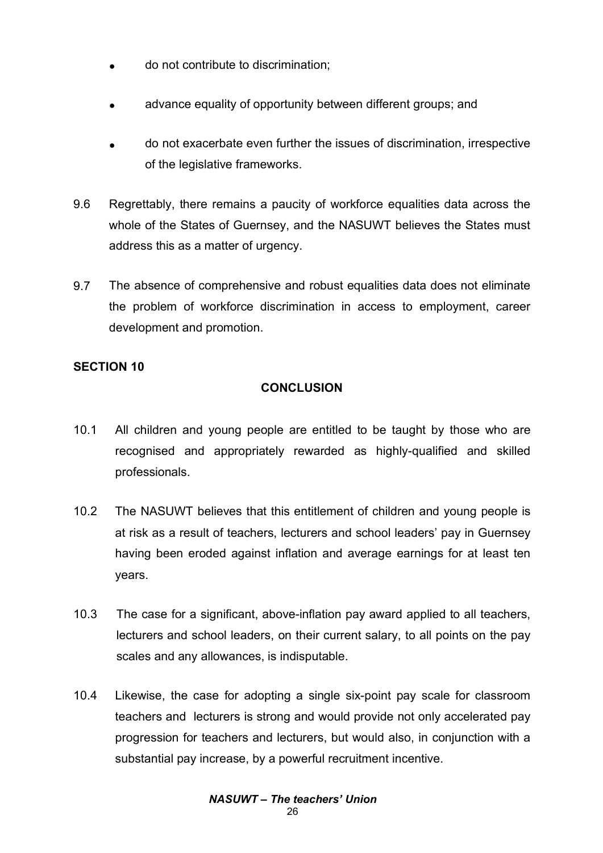- do not contribute to discrimination;
- advance equality of opportunity between different groups; and
- do not exacerbate even further the issues of discrimination, irrespective of the legislative frameworks.
- 9.6 Regrettably, there remains a paucity of workforce equalities data across the whole of the States of Guernsey, and the NASUWT believes the States must address this as a matter of urgency.
- 9.7 The absence of comprehensive and robust equalities data does not eliminate the problem of workforce discrimination in access to employment, career development and promotion.

# **SECTION 10**

# **CONCLUSION**

- 10.1 All children and young people are entitled to be taught by those who are recognised and appropriately rewarded as highly-qualified and skilled professionals.
- 10.2 The NASUWT believes that this entitlement of children and young people is at risk as a result of teachers, lecturers and school leaders' pay in Guernsey having been eroded against inflation and average earnings for at least ten years.
- 10.3 The case for a significant, above-inflation pay award applied to all teachers, lecturers and school leaders, on their current salary, to all points on the pay scales and any allowances, is indisputable.
- 10.4 Likewise, the case for adopting a single six-point pay scale for classroom teachers and lecturers is strong and would provide not only accelerated pay progression for teachers and lecturers, but would also, in conjunction with a substantial pay increase, by a powerful recruitment incentive.